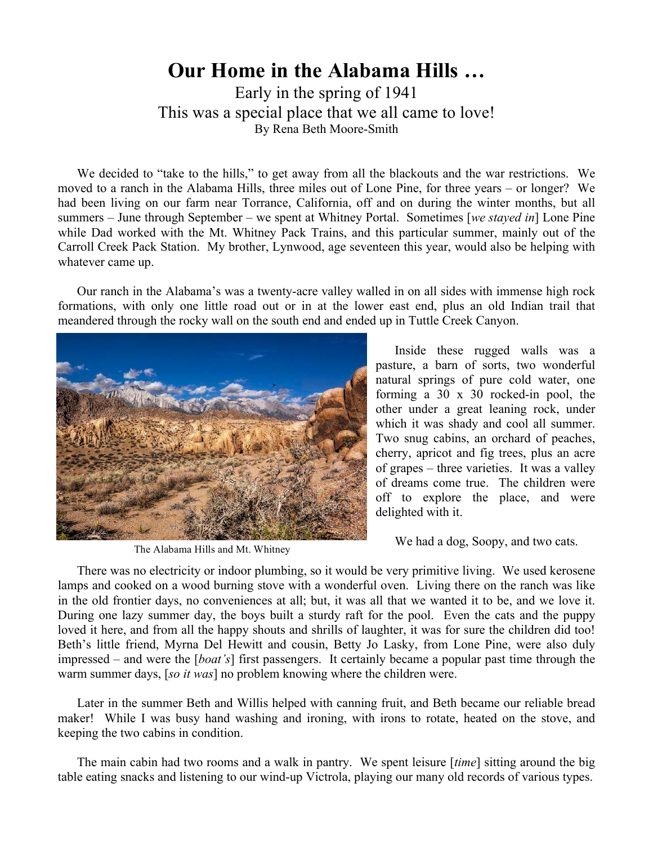## **Our Home in the Alabama Hills …**

Early in the spring of 1941 This was a special place that we all came to love! By Rena Beth Moore-Smith

We decided to "take to the hills," to get away from all the blackouts and the war restrictions. We moved to a ranch in the Alabama Hills, three miles out of Lone Pine, for three years – or longer? We had been living on our farm near Torrance, California, off and on during the winter months, but all summers – June through September – we spent at Whitney Portal. Sometimes [*we stayed in*] Lone Pine while Dad worked with the Mt. Whitney Pack Trains, and this particular summer, mainly out of the Carroll Creek Pack Station. My brother, Lynwood, age seventeen this year, would also be helping with whatever came up.

Our ranch in the Alabama's was a twenty-acre valley walled in on all sides with immense high rock formations, with only one little road out or in at the lower east end, plus an old Indian trail that meandered through the rocky wall on the south end and ended up in Tuttle Creek Canyon.



The Alabama Hills and Mt. Whitney

Inside these rugged walls was a pasture, a barn of sorts, two wonderful natural springs of pure cold water, one forming a 30 x 30 rocked-in pool, the other under a great leaning rock, under which it was shady and cool all summer. Two snug cabins, an orchard of peaches, cherry, apricot and fig trees, plus an acre of grapes – three varieties. It was a valley of dreams come true. The children were off to explore the place, and were delighted with it.

We had a dog, Soopy, and two cats.

There was no electricity or indoor plumbing, so it would be very primitive living. We used kerosene lamps and cooked on a wood burning stove with a wonderful oven. Living there on the ranch was like in the old frontier days, no conveniences at all; but, it was all that we wanted it to be, and we love it. During one lazy summer day, the boys built a sturdy raft for the pool. Even the cats and the puppy loved it here, and from all the happy shouts and shrills of laughter, it was for sure the children did too! Beth's little friend, Myrna Del Hewitt and cousin, Betty Jo Lasky, from Lone Pine, were also duly impressed – and were the [*boat's*] first passengers. It certainly became a popular past time through the warm summer days, [*so it was*] no problem knowing where the children were.

Later in the summer Beth and Willis helped with canning fruit, and Beth became our reliable bread maker! While I was busy hand washing and ironing, with irons to rotate, heated on the stove, and keeping the two cabins in condition.

The main cabin had two rooms and a walk in pantry. We spent leisure [*time*] sitting around the big table eating snacks and listening to our wind-up Victrola, playing our many old records of various types.